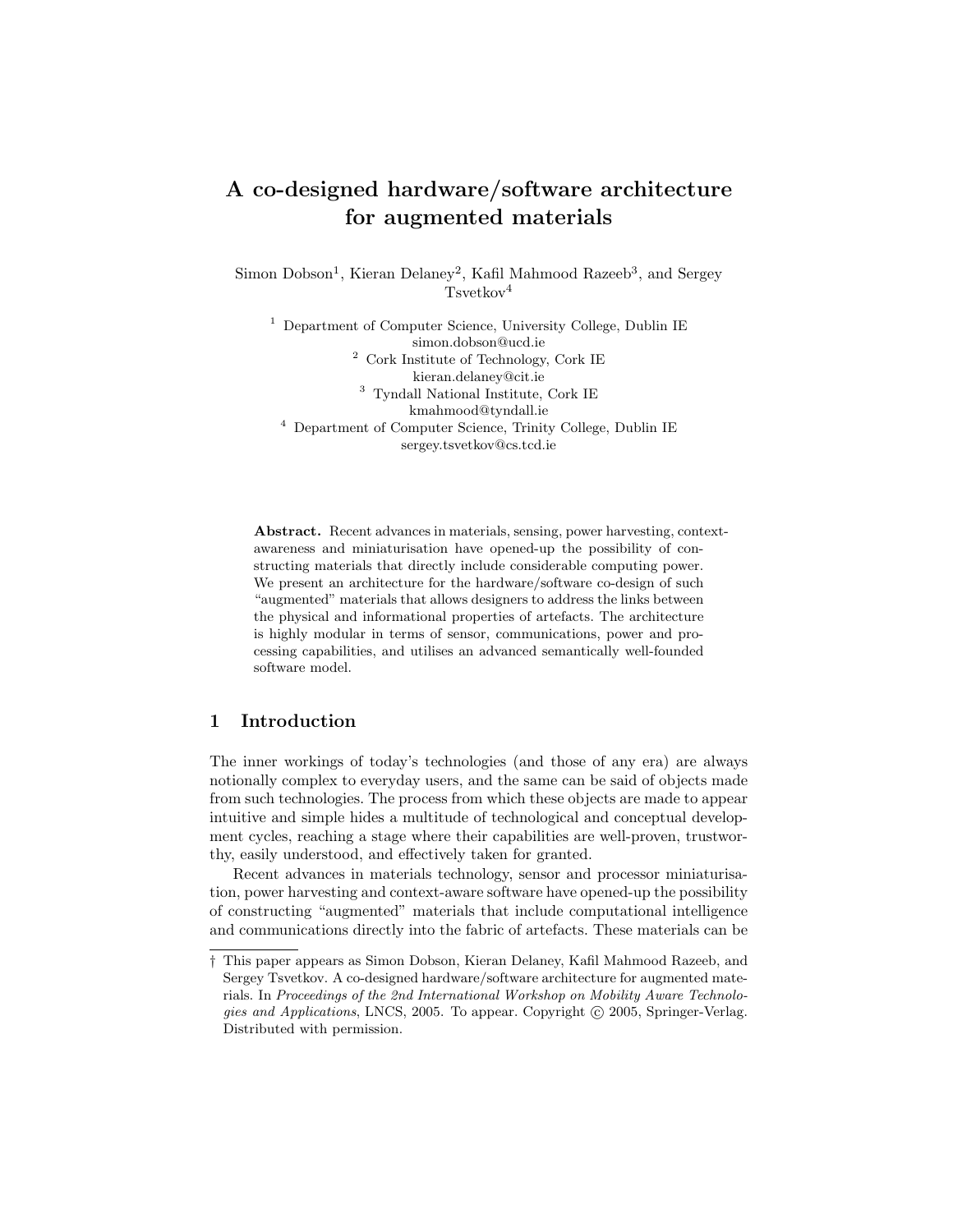# A co-designed hardware/software architecture for augmented materials

Simon Dobson<sup>1</sup>, Kieran Delaney<sup>2</sup>, Kafil Mahmood Razeeb<sup>3</sup>, and Sergey Tsvetkov<sup>4</sup>

<sup>1</sup> Department of Computer Science, University College, Dublin IE simon.dobson@ucd.ie <sup>2</sup> Cork Institute of Technology, Cork IE kieran.delaney@cit.ie  $^3\,$  Tyndall National Institute, Cork IE kmahmood@tyndall.ie <sup>4</sup> Department of Computer Science, Trinity College, Dublin IE

sergey.tsvetkov@cs.tcd.ie

Abstract. Recent advances in materials, sensing, power harvesting, contextawareness and miniaturisation have opened-up the possibility of constructing materials that directly include considerable computing power. We present an architecture for the hardware/software co-design of such "augmented" materials that allows designers to address the links between the physical and informational properties of artefacts. The architecture is highly modular in terms of sensor, communications, power and processing capabilities, and utilises an advanced semantically well-founded software model.

# 1 Introduction

The inner workings of today's technologies (and those of any era) are always notionally complex to everyday users, and the same can be said of objects made from such technologies. The process from which these objects are made to appear intuitive and simple hides a multitude of technological and conceptual development cycles, reaching a stage where their capabilities are well-proven, trustworthy, easily understood, and effectively taken for granted.

Recent advances in materials technology, sensor and processor miniaturisation, power harvesting and context-aware software have opened-up the possibility of constructing "augmented" materials that include computational intelligence and communications directly into the fabric of artefacts. These materials can be

<sup>†</sup> This paper appears as Simon Dobson, Kieran Delaney, Kafil Mahmood Razeeb, and Sergey Tsvetkov. A co-designed hardware/software architecture for augmented materials. In Proceedings of the 2nd International Workshop on Mobility Aware Technologies and Applications, LNCS, 2005. To appear. Copyright  $\odot$  2005, Springer-Verlag. Distributed with permission.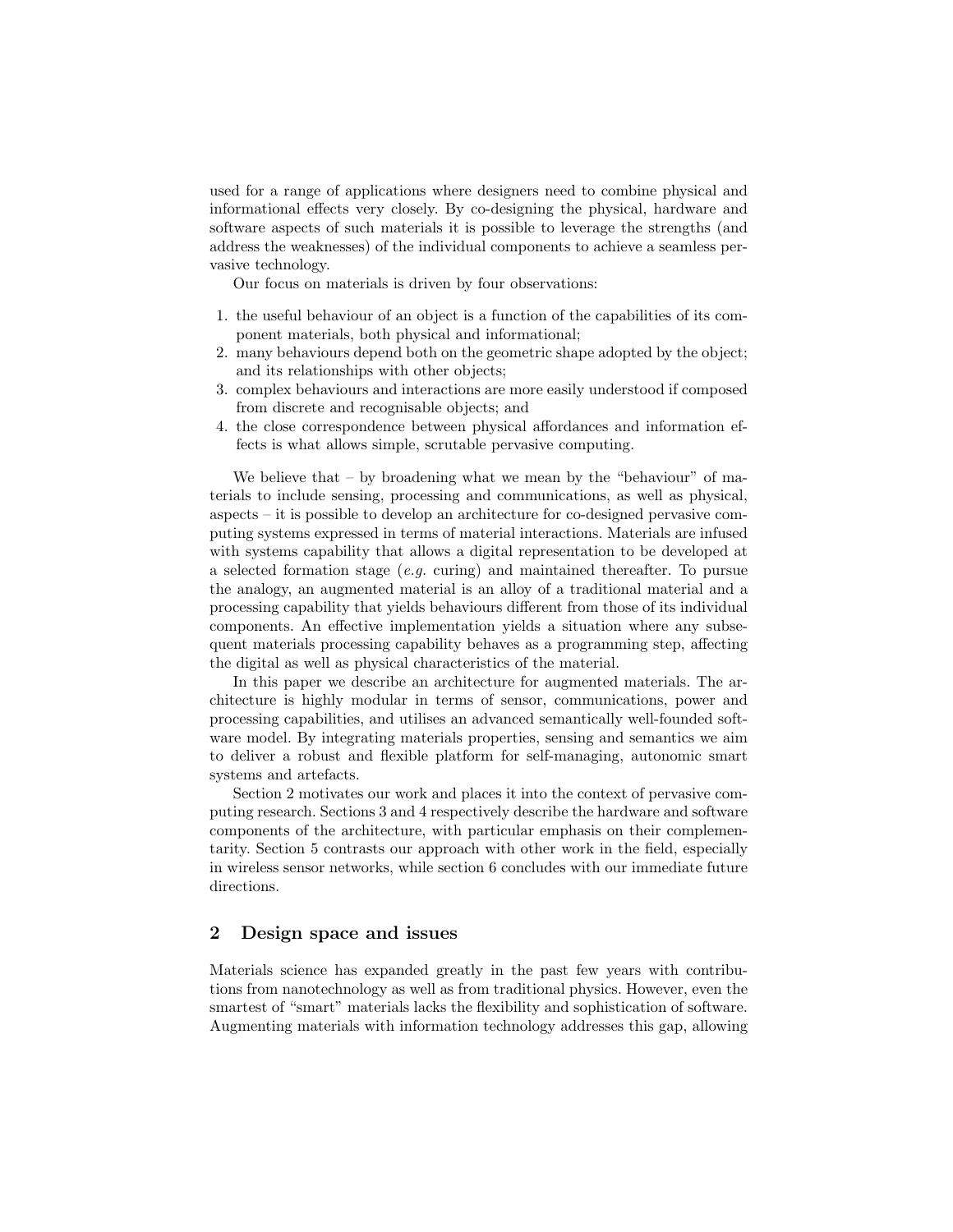used for a range of applications where designers need to combine physical and informational effects very closely. By co-designing the physical, hardware and software aspects of such materials it is possible to leverage the strengths (and address the weaknesses) of the individual components to achieve a seamless pervasive technology.

Our focus on materials is driven by four observations:

- 1. the useful behaviour of an object is a function of the capabilities of its component materials, both physical and informational;
- 2. many behaviours depend both on the geometric shape adopted by the object; and its relationships with other objects;
- 3. complex behaviours and interactions are more easily understood if composed from discrete and recognisable objects; and
- 4. the close correspondence between physical affordances and information effects is what allows simple, scrutable pervasive computing.

We believe that  $-$  by broadening what we mean by the "behaviour" of materials to include sensing, processing and communications, as well as physical, aspects – it is possible to develop an architecture for co-designed pervasive computing systems expressed in terms of material interactions. Materials are infused with systems capability that allows a digital representation to be developed at a selected formation stage  $(e,q.$  curing) and maintained thereafter. To pursue the analogy, an augmented material is an alloy of a traditional material and a processing capability that yields behaviours different from those of its individual components. An effective implementation yields a situation where any subsequent materials processing capability behaves as a programming step, affecting the digital as well as physical characteristics of the material.

In this paper we describe an architecture for augmented materials. The architecture is highly modular in terms of sensor, communications, power and processing capabilities, and utilises an advanced semantically well-founded software model. By integrating materials properties, sensing and semantics we aim to deliver a robust and flexible platform for self-managing, autonomic smart systems and artefacts.

Section 2 motivates our work and places it into the context of pervasive computing research. Sections 3 and 4 respectively describe the hardware and software components of the architecture, with particular emphasis on their complementarity. Section 5 contrasts our approach with other work in the field, especially in wireless sensor networks, while section 6 concludes with our immediate future directions.

## 2 Design space and issues

Materials science has expanded greatly in the past few years with contributions from nanotechnology as well as from traditional physics. However, even the smartest of "smart" materials lacks the flexibility and sophistication of software. Augmenting materials with information technology addresses this gap, allowing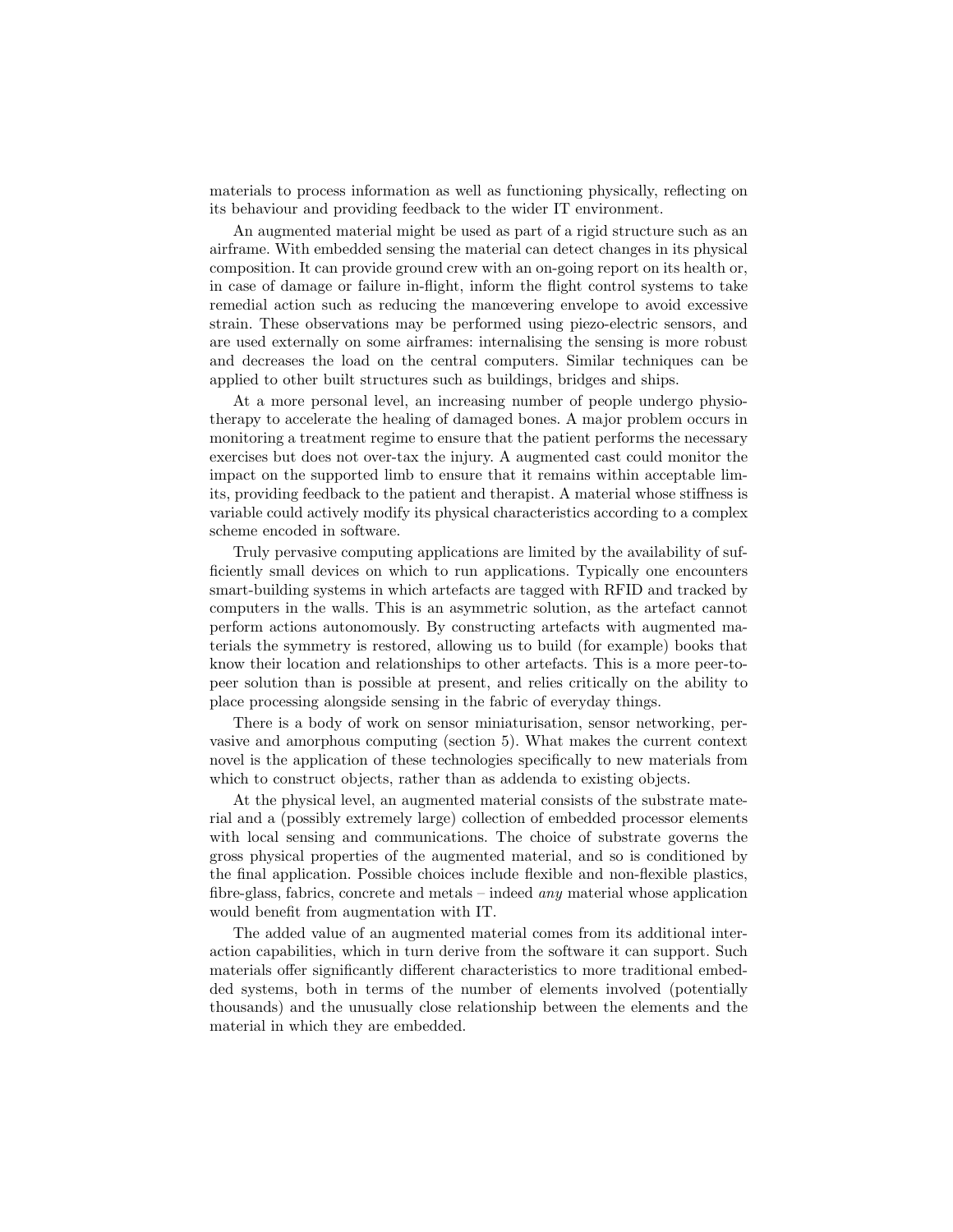materials to process information as well as functioning physically, reflecting on its behaviour and providing feedback to the wider IT environment.

An augmented material might be used as part of a rigid structure such as an airframe. With embedded sensing the material can detect changes in its physical composition. It can provide ground crew with an on-going report on its health or, in case of damage or failure in-flight, inform the flight control systems to take remedial action such as reducing the manœvering envelope to avoid excessive strain. These observations may be performed using piezo-electric sensors, and are used externally on some airframes: internalising the sensing is more robust and decreases the load on the central computers. Similar techniques can be applied to other built structures such as buildings, bridges and ships.

At a more personal level, an increasing number of people undergo physiotherapy to accelerate the healing of damaged bones. A major problem occurs in monitoring a treatment regime to ensure that the patient performs the necessary exercises but does not over-tax the injury. A augmented cast could monitor the impact on the supported limb to ensure that it remains within acceptable limits, providing feedback to the patient and therapist. A material whose stiffness is variable could actively modify its physical characteristics according to a complex scheme encoded in software.

Truly pervasive computing applications are limited by the availability of sufficiently small devices on which to run applications. Typically one encounters smart-building systems in which artefacts are tagged with RFID and tracked by computers in the walls. This is an asymmetric solution, as the artefact cannot perform actions autonomously. By constructing artefacts with augmented materials the symmetry is restored, allowing us to build (for example) books that know their location and relationships to other artefacts. This is a more peer-topeer solution than is possible at present, and relies critically on the ability to place processing alongside sensing in the fabric of everyday things.

There is a body of work on sensor miniaturisation, sensor networking, pervasive and amorphous computing (section 5). What makes the current context novel is the application of these technologies specifically to new materials from which to construct objects, rather than as addenda to existing objects.

At the physical level, an augmented material consists of the substrate material and a (possibly extremely large) collection of embedded processor elements with local sensing and communications. The choice of substrate governs the gross physical properties of the augmented material, and so is conditioned by the final application. Possible choices include flexible and non-flexible plastics, fibre-glass, fabrics, concrete and metals – indeed any material whose application would benefit from augmentation with IT.

The added value of an augmented material comes from its additional interaction capabilities, which in turn derive from the software it can support. Such materials offer significantly different characteristics to more traditional embedded systems, both in terms of the number of elements involved (potentially thousands) and the unusually close relationship between the elements and the material in which they are embedded.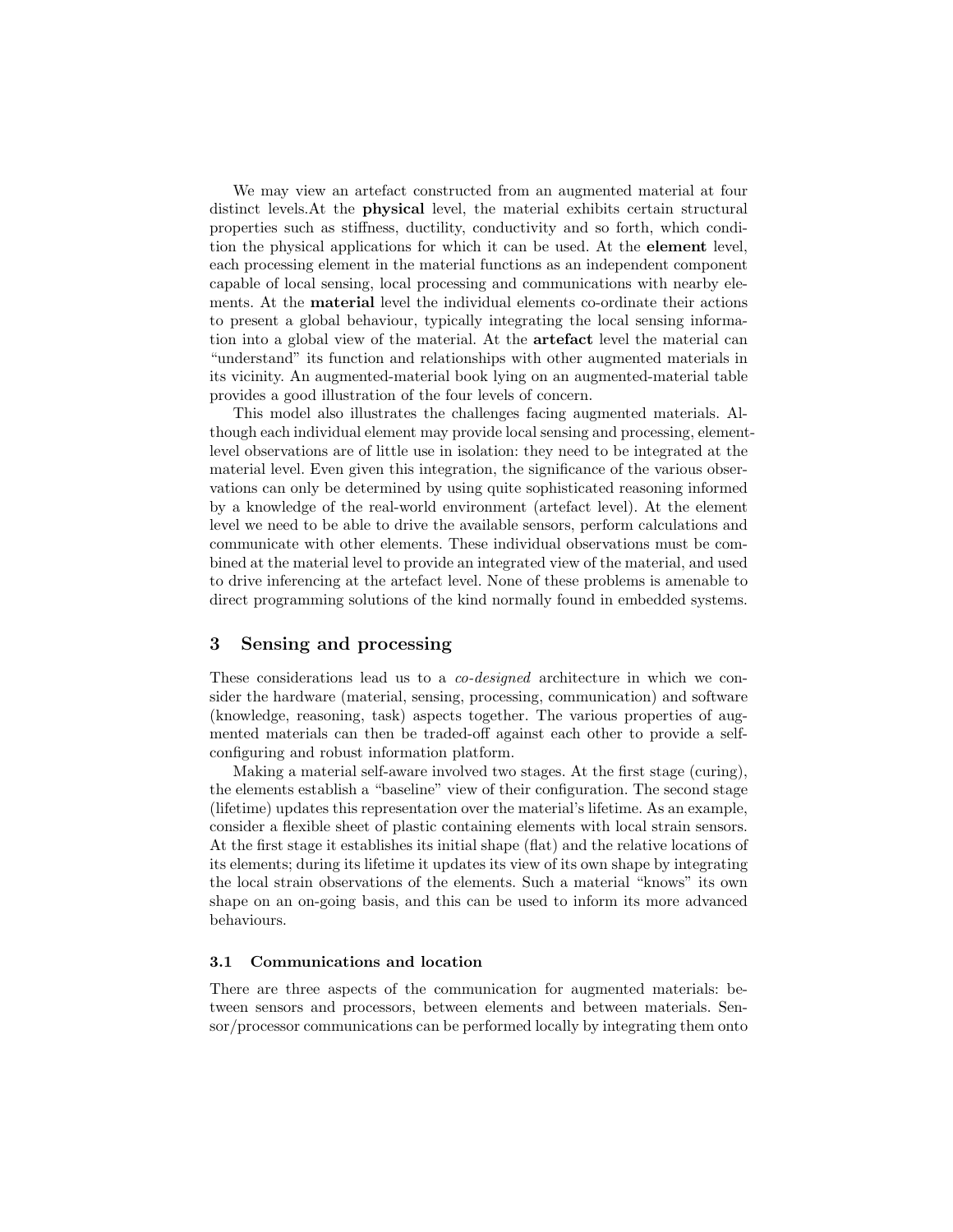We may view an artefact constructed from an augmented material at four distinct levels.At the physical level, the material exhibits certain structural properties such as stiffness, ductility, conductivity and so forth, which condition the physical applications for which it can be used. At the element level, each processing element in the material functions as an independent component capable of local sensing, local processing and communications with nearby elements. At the material level the individual elements co-ordinate their actions to present a global behaviour, typically integrating the local sensing information into a global view of the material. At the artefact level the material can "understand" its function and relationships with other augmented materials in its vicinity. An augmented-material book lying on an augmented-material table provides a good illustration of the four levels of concern.

This model also illustrates the challenges facing augmented materials. Although each individual element may provide local sensing and processing, elementlevel observations are of little use in isolation: they need to be integrated at the material level. Even given this integration, the significance of the various observations can only be determined by using quite sophisticated reasoning informed by a knowledge of the real-world environment (artefact level). At the element level we need to be able to drive the available sensors, perform calculations and communicate with other elements. These individual observations must be combined at the material level to provide an integrated view of the material, and used to drive inferencing at the artefact level. None of these problems is amenable to direct programming solutions of the kind normally found in embedded systems.

## 3 Sensing and processing

These considerations lead us to a co-designed architecture in which we consider the hardware (material, sensing, processing, communication) and software (knowledge, reasoning, task) aspects together. The various properties of augmented materials can then be traded-off against each other to provide a selfconfiguring and robust information platform.

Making a material self-aware involved two stages. At the first stage (curing), the elements establish a "baseline" view of their configuration. The second stage (lifetime) updates this representation over the material's lifetime. As an example, consider a flexible sheet of plastic containing elements with local strain sensors. At the first stage it establishes its initial shape (flat) and the relative locations of its elements; during its lifetime it updates its view of its own shape by integrating the local strain observations of the elements. Such a material "knows" its own shape on an on-going basis, and this can be used to inform its more advanced behaviours.

#### 3.1 Communications and location

There are three aspects of the communication for augmented materials: between sensors and processors, between elements and between materials. Sensor/processor communications can be performed locally by integrating them onto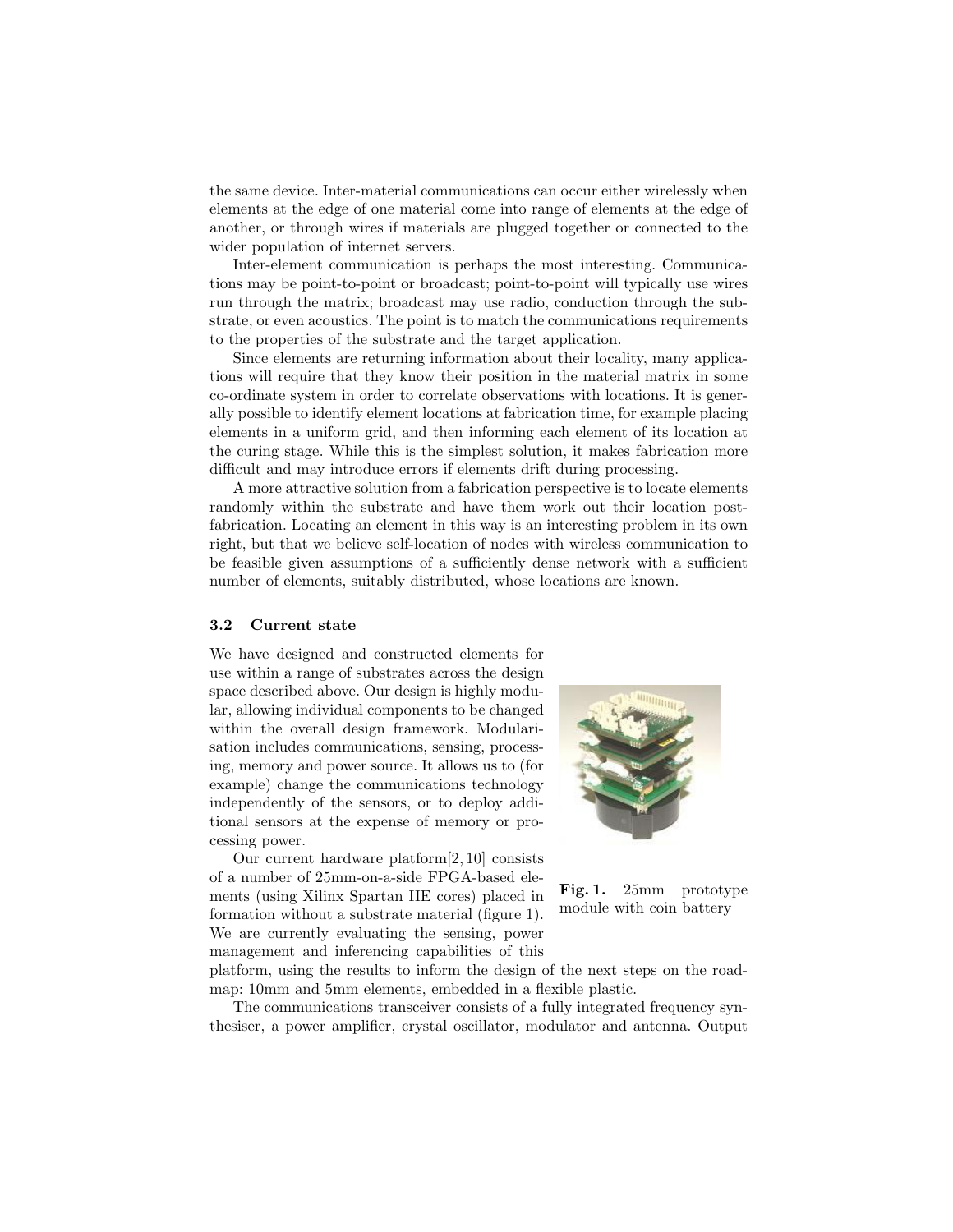the same device. Inter-material communications can occur either wirelessly when elements at the edge of one material come into range of elements at the edge of another, or through wires if materials are plugged together or connected to the wider population of internet servers.

Inter-element communication is perhaps the most interesting. Communications may be point-to-point or broadcast; point-to-point will typically use wires run through the matrix; broadcast may use radio, conduction through the substrate, or even acoustics. The point is to match the communications requirements to the properties of the substrate and the target application.

Since elements are returning information about their locality, many applications will require that they know their position in the material matrix in some co-ordinate system in order to correlate observations with locations. It is generally possible to identify element locations at fabrication time, for example placing elements in a uniform grid, and then informing each element of its location at the curing stage. While this is the simplest solution, it makes fabrication more difficult and may introduce errors if elements drift during processing.

A more attractive solution from a fabrication perspective is to locate elements randomly within the substrate and have them work out their location postfabrication. Locating an element in this way is an interesting problem in its own right, but that we believe self-location of nodes with wireless communication to be feasible given assumptions of a sufficiently dense network with a sufficient number of elements, suitably distributed, whose locations are known.

#### 3.2 Current state

We have designed and constructed elements for use within a range of substrates across the design space described above. Our design is highly modular, allowing individual components to be changed within the overall design framework. Modularisation includes communications, sensing, processing, memory and power source. It allows us to (for example) change the communications technology independently of the sensors, or to deploy additional sensors at the expense of memory or processing power.

Our current hardware platform[2, 10] consists of a number of 25mm-on-a-side FPGA-based elements (using Xilinx Spartan IIE cores) placed in formation without a substrate material (figure 1). We are currently evaluating the sensing, power management and inferencing capabilities of this



Fig. 1. 25mm prototype module with coin battery

platform, using the results to inform the design of the next steps on the roadmap: 10mm and 5mm elements, embedded in a flexible plastic.

The communications transceiver consists of a fully integrated frequency synthesiser, a power amplifier, crystal oscillator, modulator and antenna. Output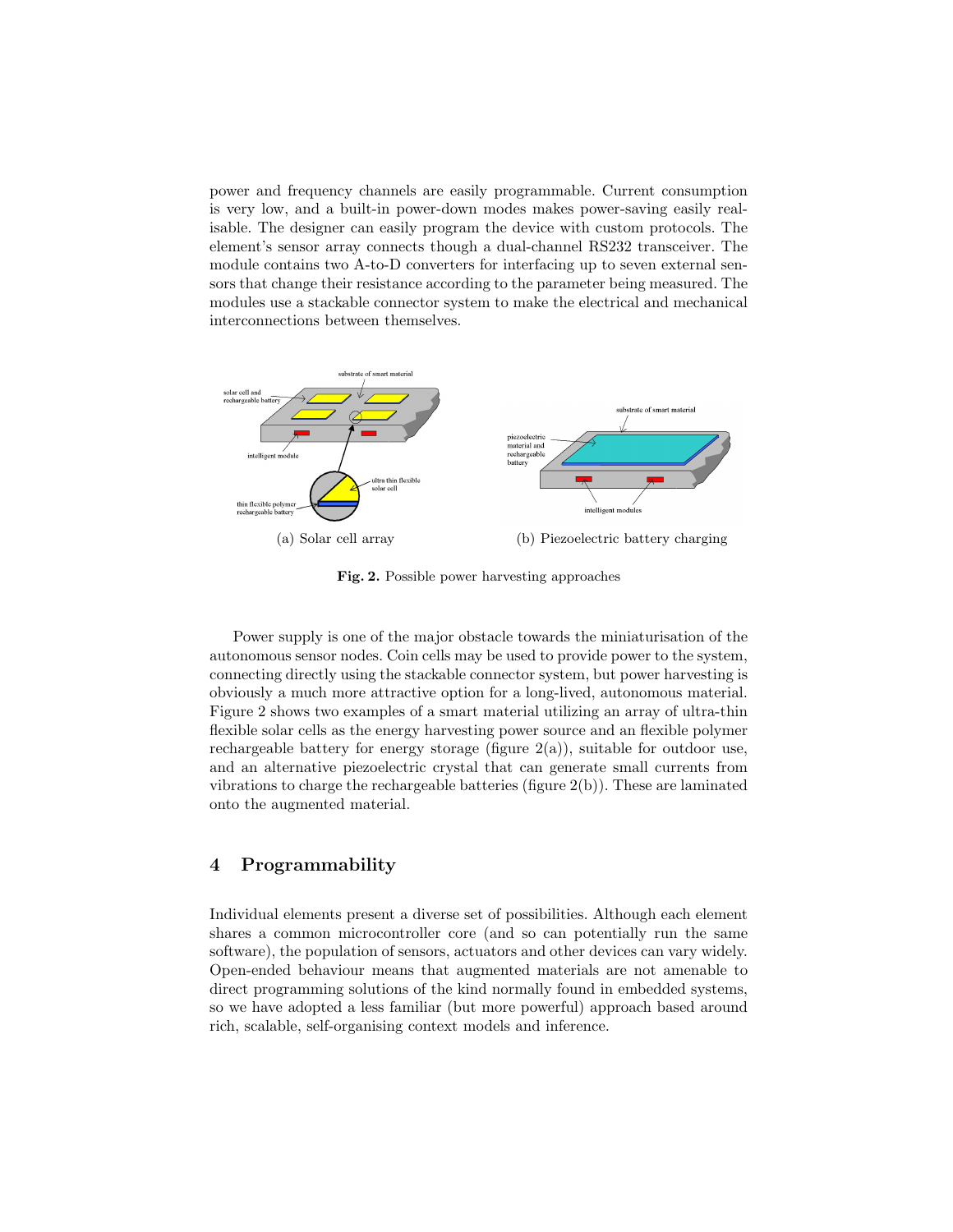power and frequency channels are easily programmable. Current consumption is very low, and a built-in power-down modes makes power-saving easily realisable. The designer can easily program the device with custom protocols. The element's sensor array connects though a dual-channel RS232 transceiver. The module contains two A-to-D converters for interfacing up to seven external sensors that change their resistance according to the parameter being measured. The modules use a stackable connector system to make the electrical and mechanical interconnections between themselves.



Fig. 2. Possible power harvesting approaches

Power supply is one of the major obstacle towards the miniaturisation of the autonomous sensor nodes. Coin cells may be used to provide power to the system, connecting directly using the stackable connector system, but power harvesting is obviously a much more attractive option for a long-lived, autonomous material. Figure 2 shows two examples of a smart material utilizing an array of ultra-thin flexible solar cells as the energy harvesting power source and an flexible polymer rechargeable battery for energy storage (figure  $2(a)$ ), suitable for outdoor use, and an alternative piezoelectric crystal that can generate small currents from vibrations to charge the rechargeable batteries (figure 2(b)). These are laminated onto the augmented material.

# 4 Programmability

Individual elements present a diverse set of possibilities. Although each element shares a common microcontroller core (and so can potentially run the same software), the population of sensors, actuators and other devices can vary widely. Open-ended behaviour means that augmented materials are not amenable to direct programming solutions of the kind normally found in embedded systems, so we have adopted a less familiar (but more powerful) approach based around rich, scalable, self-organising context models and inference.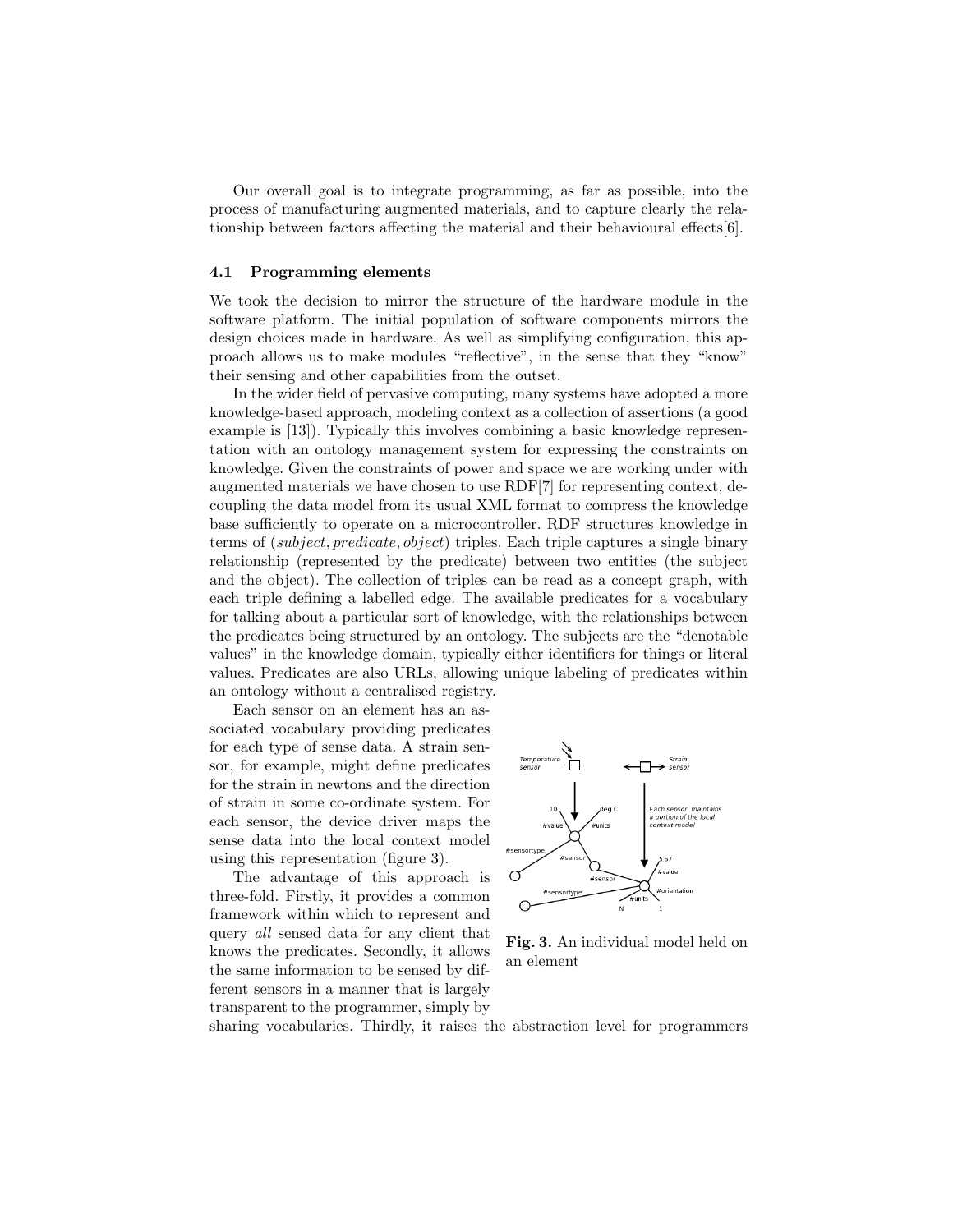Our overall goal is to integrate programming, as far as possible, into the process of manufacturing augmented materials, and to capture clearly the relationship between factors affecting the material and their behavioural effects[6].

#### 4.1 Programming elements

We took the decision to mirror the structure of the hardware module in the software platform. The initial population of software components mirrors the design choices made in hardware. As well as simplifying configuration, this approach allows us to make modules "reflective", in the sense that they "know" their sensing and other capabilities from the outset.

In the wider field of pervasive computing, many systems have adopted a more knowledge-based approach, modeling context as a collection of assertions (a good example is [13]). Typically this involves combining a basic knowledge representation with an ontology management system for expressing the constraints on knowledge. Given the constraints of power and space we are working under with augmented materials we have chosen to use RDF[7] for representing context, decoupling the data model from its usual XML format to compress the knowledge base sufficiently to operate on a microcontroller. RDF structures knowledge in terms of (subject, predicate, object) triples. Each triple captures a single binary relationship (represented by the predicate) between two entities (the subject and the object). The collection of triples can be read as a concept graph, with each triple defining a labelled edge. The available predicates for a vocabulary for talking about a particular sort of knowledge, with the relationships between the predicates being structured by an ontology. The subjects are the "denotable values" in the knowledge domain, typically either identifiers for things or literal values. Predicates are also URLs, allowing unique labeling of predicates within an ontology without a centralised registry.

Each sensor on an element has an associated vocabulary providing predicates for each type of sense data. A strain sensor, for example, might define predicates for the strain in newtons and the direction of strain in some co-ordinate system. For each sensor, the device driver maps the sense data into the local context model using this representation (figure 3).

The advantage of this approach is three-fold. Firstly, it provides a common framework within which to represent and query all sensed data for any client that knows the predicates. Secondly, it allows the same information to be sensed by different sensors in a manner that is largely transparent to the programmer, simply by



Fig. 3. An individual model held on an element

sharing vocabularies. Thirdly, it raises the abstraction level for programmers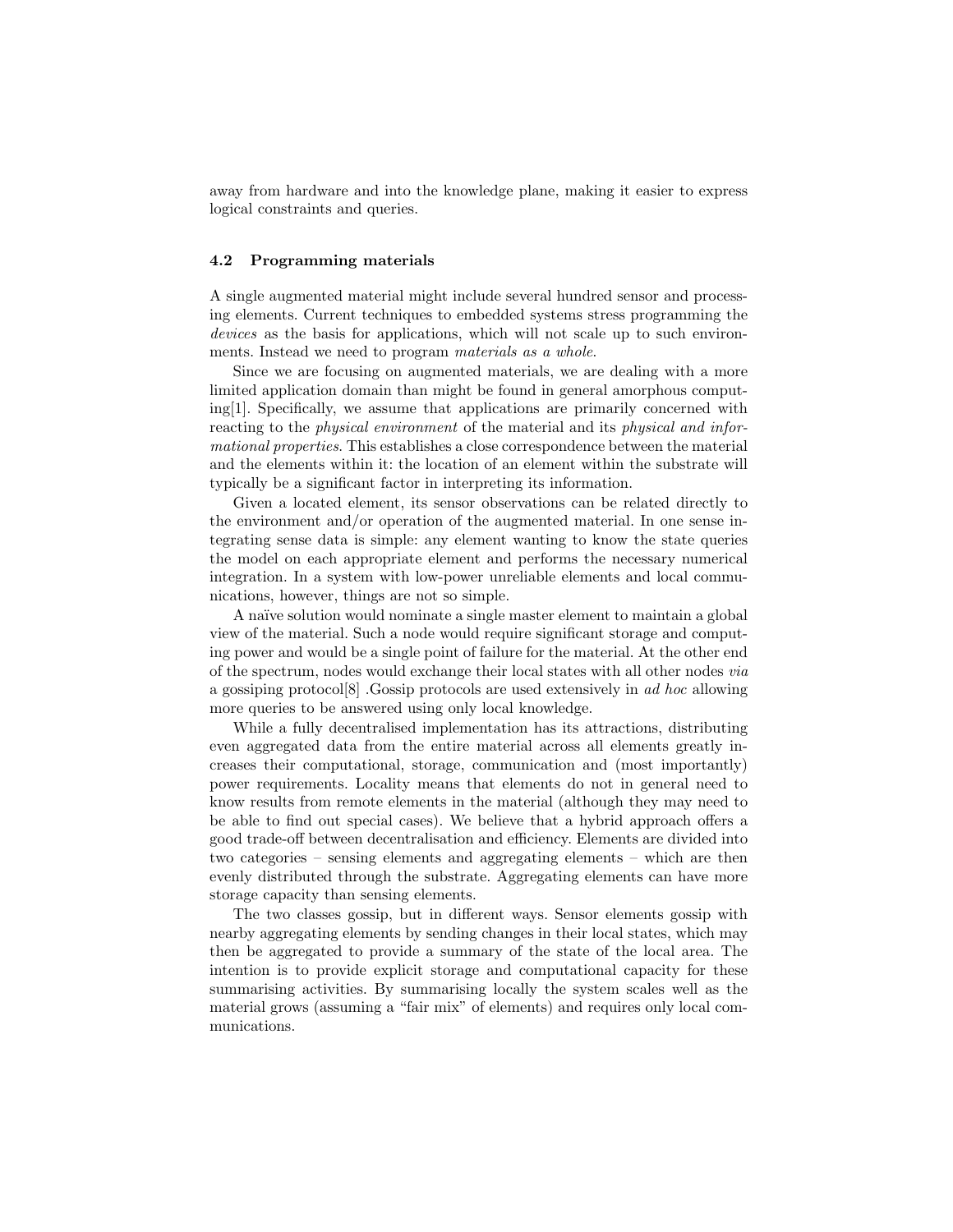away from hardware and into the knowledge plane, making it easier to express logical constraints and queries.

#### 4.2 Programming materials

A single augmented material might include several hundred sensor and processing elements. Current techniques to embedded systems stress programming the devices as the basis for applications, which will not scale up to such environments. Instead we need to program materials as a whole.

Since we are focusing on augmented materials, we are dealing with a more limited application domain than might be found in general amorphous computing[1]. Specifically, we assume that applications are primarily concerned with reacting to the *physical environment* of the material and its *physical and infor*mational properties. This establishes a close correspondence between the material and the elements within it: the location of an element within the substrate will typically be a significant factor in interpreting its information.

Given a located element, its sensor observations can be related directly to the environment and/or operation of the augmented material. In one sense integrating sense data is simple: any element wanting to know the state queries the model on each appropriate element and performs the necessary numerical integration. In a system with low-power unreliable elements and local communications, however, things are not so simple.

A naïve solution would nominate a single master element to maintain a global view of the material. Such a node would require significant storage and computing power and would be a single point of failure for the material. At the other end of the spectrum, nodes would exchange their local states with all other nodes via a gossiping protocol[8] .Gossip protocols are used extensively in ad hoc allowing more queries to be answered using only local knowledge.

While a fully decentralised implementation has its attractions, distributing even aggregated data from the entire material across all elements greatly increases their computational, storage, communication and (most importantly) power requirements. Locality means that elements do not in general need to know results from remote elements in the material (although they may need to be able to find out special cases). We believe that a hybrid approach offers a good trade-off between decentralisation and efficiency. Elements are divided into two categories – sensing elements and aggregating elements – which are then evenly distributed through the substrate. Aggregating elements can have more storage capacity than sensing elements.

The two classes gossip, but in different ways. Sensor elements gossip with nearby aggregating elements by sending changes in their local states, which may then be aggregated to provide a summary of the state of the local area. The intention is to provide explicit storage and computational capacity for these summarising activities. By summarising locally the system scales well as the material grows (assuming a "fair mix" of elements) and requires only local communications.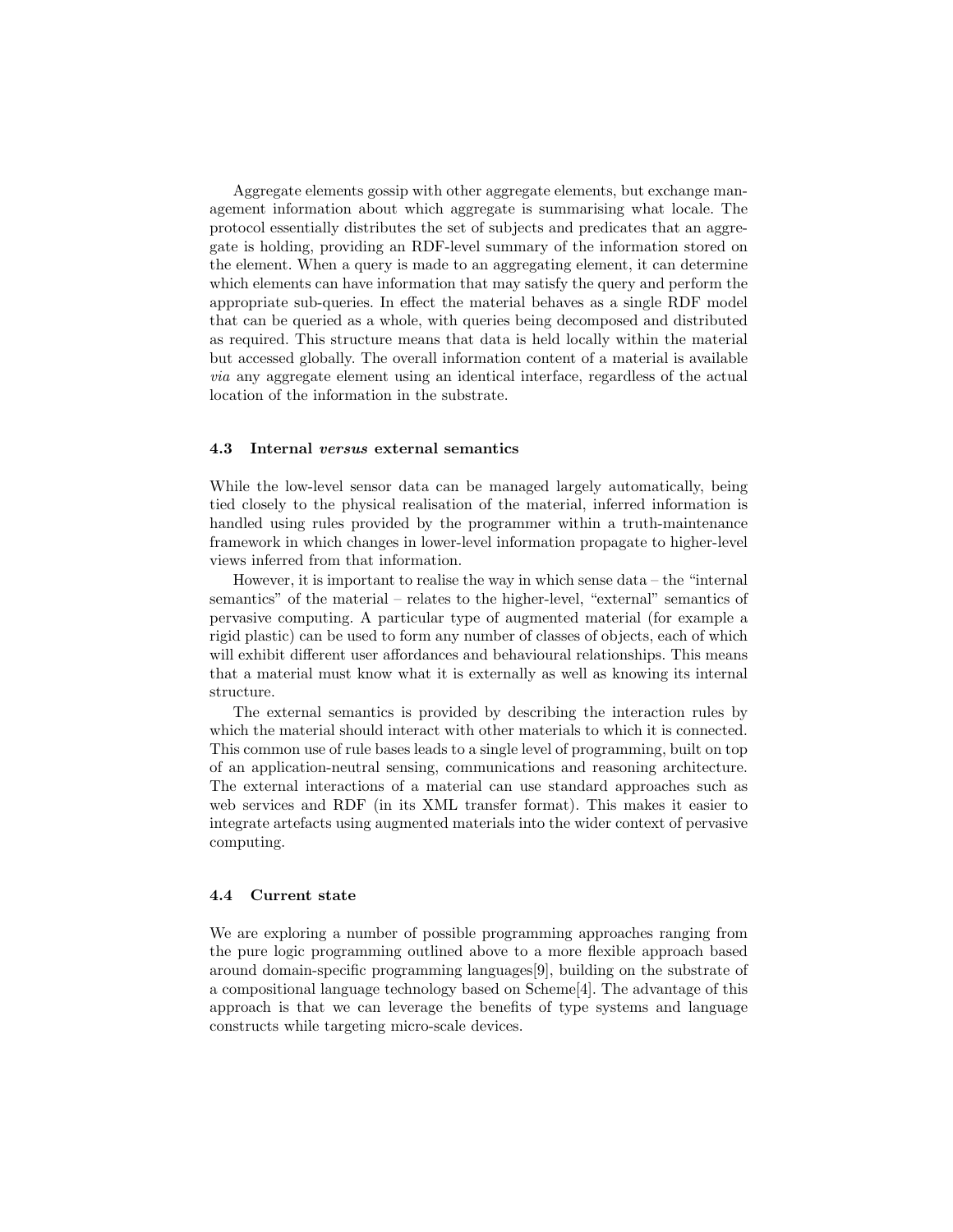Aggregate elements gossip with other aggregate elements, but exchange management information about which aggregate is summarising what locale. The protocol essentially distributes the set of subjects and predicates that an aggregate is holding, providing an RDF-level summary of the information stored on the element. When a query is made to an aggregating element, it can determine which elements can have information that may satisfy the query and perform the appropriate sub-queries. In effect the material behaves as a single RDF model that can be queried as a whole, with queries being decomposed and distributed as required. This structure means that data is held locally within the material but accessed globally. The overall information content of a material is available via any aggregate element using an identical interface, regardless of the actual location of the information in the substrate.

### 4.3 Internal versus external semantics

While the low-level sensor data can be managed largely automatically, being tied closely to the physical realisation of the material, inferred information is handled using rules provided by the programmer within a truth-maintenance framework in which changes in lower-level information propagate to higher-level views inferred from that information.

However, it is important to realise the way in which sense data – the "internal semantics" of the material – relates to the higher-level, "external" semantics of pervasive computing. A particular type of augmented material (for example a rigid plastic) can be used to form any number of classes of objects, each of which will exhibit different user affordances and behavioural relationships. This means that a material must know what it is externally as well as knowing its internal structure.

The external semantics is provided by describing the interaction rules by which the material should interact with other materials to which it is connected. This common use of rule bases leads to a single level of programming, built on top of an application-neutral sensing, communications and reasoning architecture. The external interactions of a material can use standard approaches such as web services and RDF (in its XML transfer format). This makes it easier to integrate artefacts using augmented materials into the wider context of pervasive computing.

## 4.4 Current state

We are exploring a number of possible programming approaches ranging from the pure logic programming outlined above to a more flexible approach based around domain-specific programming languages[9], building on the substrate of a compositional language technology based on Scheme[4]. The advantage of this approach is that we can leverage the benefits of type systems and language constructs while targeting micro-scale devices.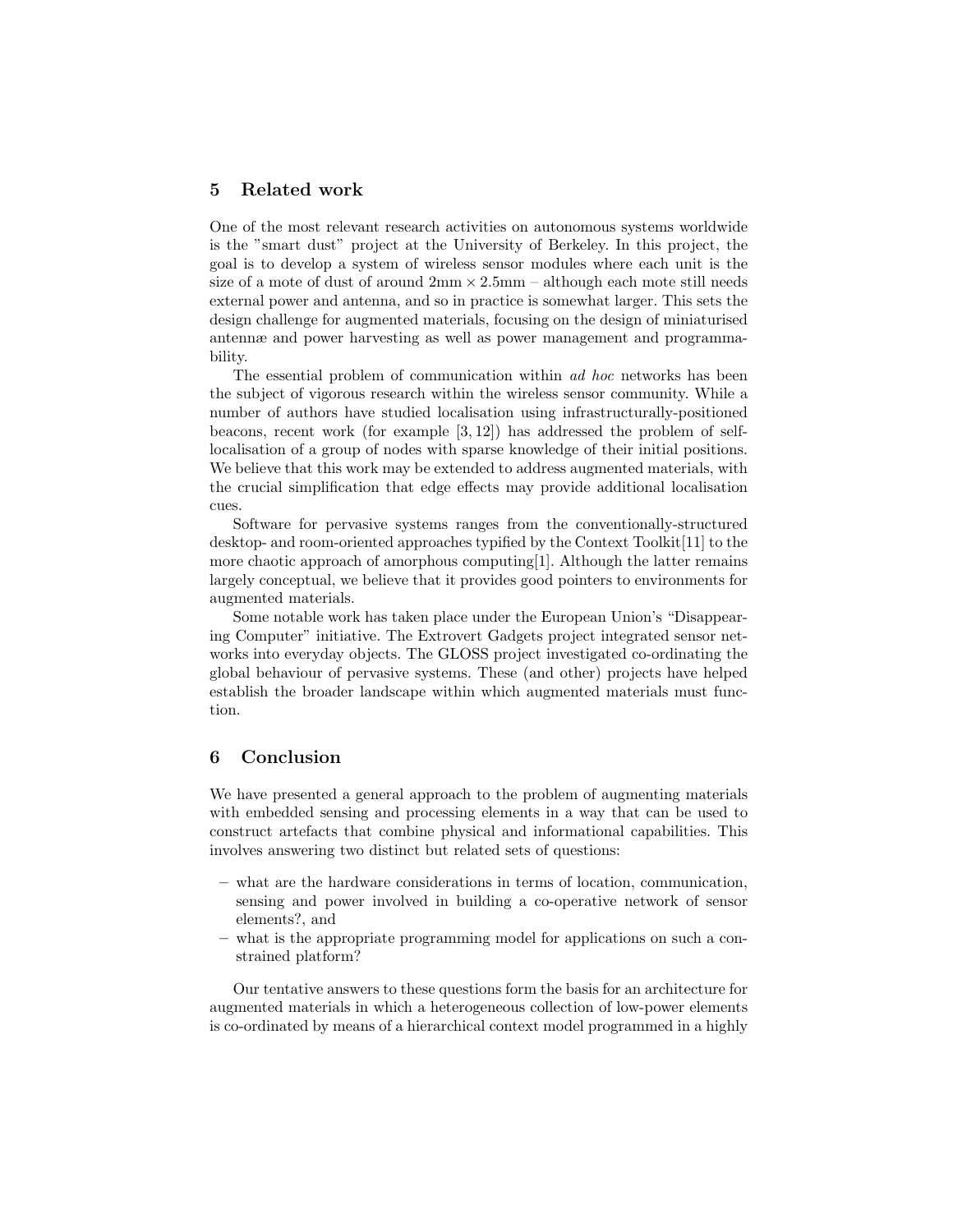# 5 Related work

One of the most relevant research activities on autonomous systems worldwide is the "smart dust" project at the University of Berkeley. In this project, the goal is to develop a system of wireless sensor modules where each unit is the size of a mote of dust of around  $2 \text{mm} \times 2.5 \text{mm}$  – although each mote still needs external power and antenna, and so in practice is somewhat larger. This sets the design challenge for augmented materials, focusing on the design of miniaturised antennæ and power harvesting as well as power management and programmability.

The essential problem of communication within ad hoc networks has been the subject of vigorous research within the wireless sensor community. While a number of authors have studied localisation using infrastructurally-positioned beacons, recent work (for example [3, 12]) has addressed the problem of selflocalisation of a group of nodes with sparse knowledge of their initial positions. We believe that this work may be extended to address augmented materials, with the crucial simplification that edge effects may provide additional localisation cues.

Software for pervasive systems ranges from the conventionally-structured desktop- and room-oriented approaches typified by the Context Toolkit[11] to the more chaotic approach of amorphous computing[1]. Although the latter remains largely conceptual, we believe that it provides good pointers to environments for augmented materials.

Some notable work has taken place under the European Union's "Disappearing Computer" initiative. The Extrovert Gadgets project integrated sensor networks into everyday objects. The GLOSS project investigated co-ordinating the global behaviour of pervasive systems. These (and other) projects have helped establish the broader landscape within which augmented materials must function.

# 6 Conclusion

We have presented a general approach to the problem of augmenting materials with embedded sensing and processing elements in a way that can be used to construct artefacts that combine physical and informational capabilities. This involves answering two distinct but related sets of questions:

- what are the hardware considerations in terms of location, communication, sensing and power involved in building a co-operative network of sensor elements?, and
- what is the appropriate programming model for applications on such a constrained platform?

Our tentative answers to these questions form the basis for an architecture for augmented materials in which a heterogeneous collection of low-power elements is co-ordinated by means of a hierarchical context model programmed in a highly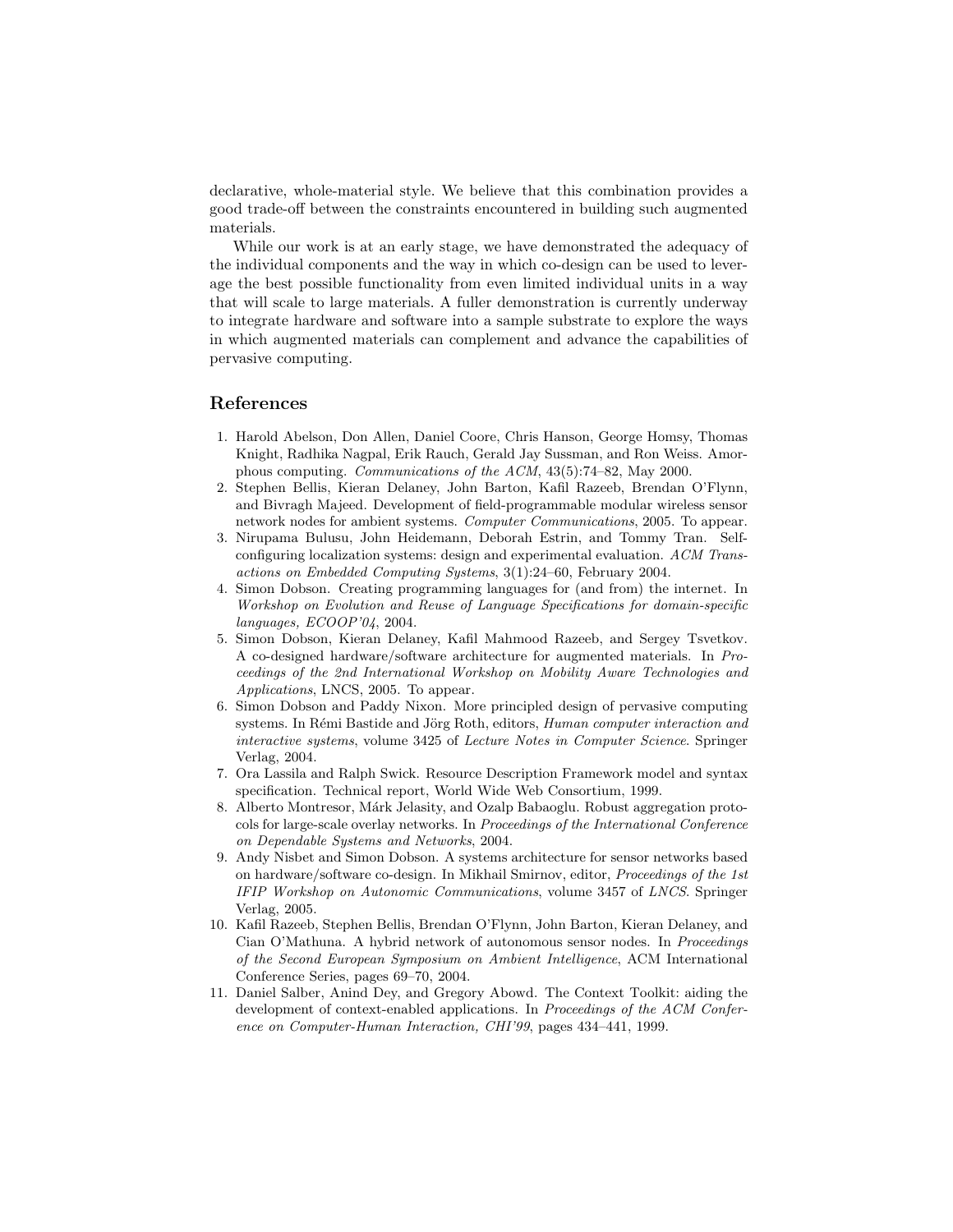declarative, whole-material style. We believe that this combination provides a good trade-off between the constraints encountered in building such augmented materials.

While our work is at an early stage, we have demonstrated the adequacy of the individual components and the way in which co-design can be used to leverage the best possible functionality from even limited individual units in a way that will scale to large materials. A fuller demonstration is currently underway to integrate hardware and software into a sample substrate to explore the ways in which augmented materials can complement and advance the capabilities of pervasive computing.

## References

- 1. Harold Abelson, Don Allen, Daniel Coore, Chris Hanson, George Homsy, Thomas Knight, Radhika Nagpal, Erik Rauch, Gerald Jay Sussman, and Ron Weiss. Amorphous computing. Communications of the ACM, 43(5):74–82, May 2000.
- 2. Stephen Bellis, Kieran Delaney, John Barton, Kafil Razeeb, Brendan O'Flynn, and Bivragh Majeed. Development of field-programmable modular wireless sensor network nodes for ambient systems. Computer Communications, 2005. To appear.
- 3. Nirupama Bulusu, John Heidemann, Deborah Estrin, and Tommy Tran. Selfconfiguring localization systems: design and experimental evaluation. ACM Transactions on Embedded Computing Systems, 3(1):24–60, February 2004.
- 4. Simon Dobson. Creating programming languages for (and from) the internet. In Workshop on Evolution and Reuse of Language Specifications for domain-specific languages, ECOOP'04, 2004.
- 5. Simon Dobson, Kieran Delaney, Kafil Mahmood Razeeb, and Sergey Tsvetkov. A co-designed hardware/software architecture for augmented materials. In Proceedings of the 2nd International Workshop on Mobility Aware Technologies and Applications, LNCS, 2005. To appear.
- 6. Simon Dobson and Paddy Nixon. More principled design of pervasive computing systems. In Rémi Bastide and Jörg Roth, editors, Human computer interaction and interactive systems, volume 3425 of Lecture Notes in Computer Science. Springer Verlag, 2004.
- 7. Ora Lassila and Ralph Swick. Resource Description Framework model and syntax specification. Technical report, World Wide Web Consortium, 1999.
- 8. Alberto Montresor, Márk Jelasity, and Ozalp Babaoglu. Robust aggregation protocols for large-scale overlay networks. In Proceedings of the International Conference on Dependable Systems and Networks, 2004.
- 9. Andy Nisbet and Simon Dobson. A systems architecture for sensor networks based on hardware/software co-design. In Mikhail Smirnov, editor, Proceedings of the 1st IFIP Workshop on Autonomic Communications, volume 3457 of LNCS. Springer Verlag, 2005.
- 10. Kafil Razeeb, Stephen Bellis, Brendan O'Flynn, John Barton, Kieran Delaney, and Cian O'Mathuna. A hybrid network of autonomous sensor nodes. In Proceedings of the Second European Symposium on Ambient Intelligence, ACM International Conference Series, pages 69–70, 2004.
- 11. Daniel Salber, Anind Dey, and Gregory Abowd. The Context Toolkit: aiding the development of context-enabled applications. In Proceedings of the ACM Conference on Computer-Human Interaction, CHI'99, pages 434–441, 1999.